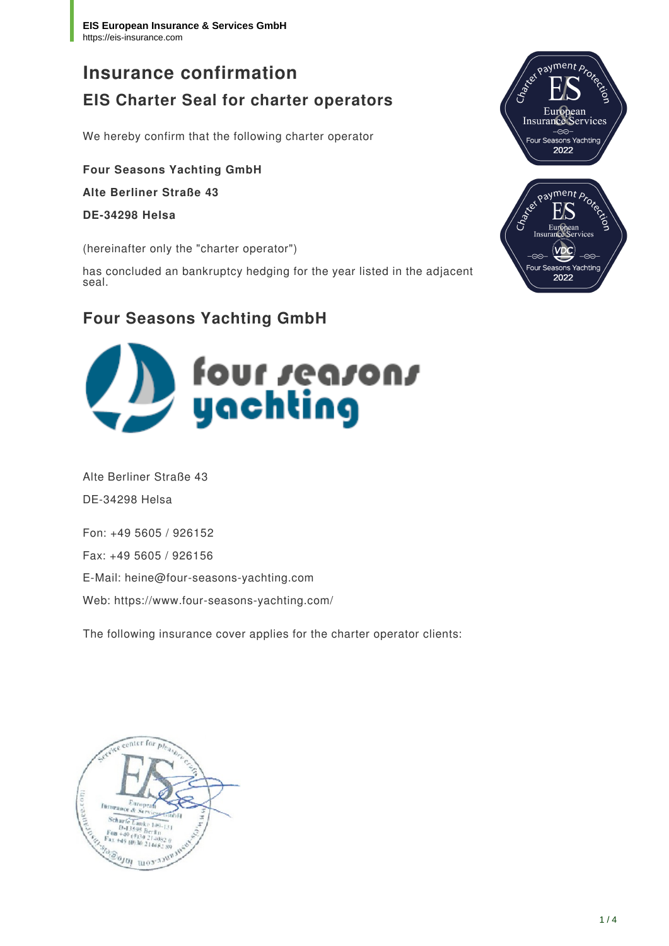# **Insurance confirmation EIS Charter Seal for charter operators**

We hereby confirm that the following charter operator

**Four Seasons Yachting GmbH Alte Berliner Straße 43**

**DE-34298 Helsa**

(hereinafter only the "charter operator")

has concluded an bankruptcy hedging for the year listed in the adjacent seal.

# **Four Seasons Yachting GmbH**



Alte Berliner Straße 43 DE-34298 Helsa

Fon: +49 5605 / 926152

Fax: +49 5605 / 926156

E-Mail: heine@four-seasons-yachting.com

Web: https://www.four-seasons-yachting.com/

The following insurance cover applies for the charter operator clients:



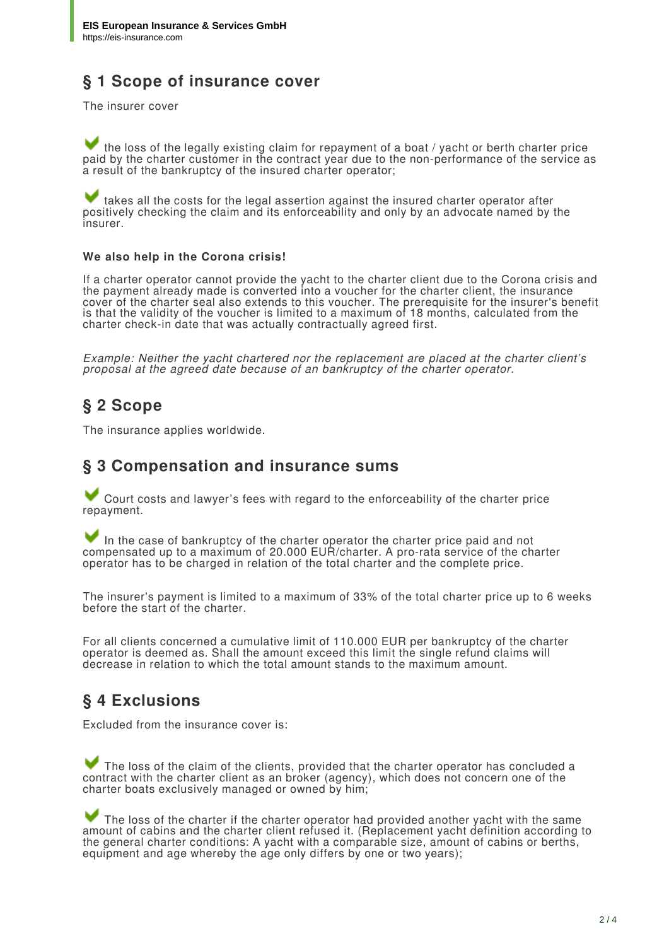# **§ 1 Scope of insurance cover**

The insurer cover

 the loss of the legally existing claim for repayment of a boat / yacht or berth charter price paid by the charter customer in the contract year due to the non-performance of the service as a result of the bankruptcy of the insured charter operator;

 takes all the costs for the legal assertion against the insured charter operator after positively checking the claim and its enforceability and only by an advocate named by the insurer.

#### **We also help in the Corona crisis!**

If a charter operator cannot provide the yacht to the charter client due to the Corona crisis and the payment already made is converted into a voucher for the charter client, the insurance cover of the charter seal also extends to this voucher. The prerequisite for the insurer's benefit is that the validity of the voucher is limited to a maximum of 18 months, calculated from the charter check-in date that was actually contractually agreed first.

*Example: Neither the yacht chartered nor the replacement are placed at the charter client's proposal at the agreed date because of an bankruptcy of the charter operator.*

#### **§ 2 Scope**

The insurance applies worldwide.

#### **§ 3 Compensation and insurance sums**

 Court costs and lawyer's fees with regard to the enforceability of the charter price repayment.

In the case of bankruptcy of the charter operator the charter price paid and not compensated up to a maximum of 20.000 EUR/charter. A pro-rata service of the charter operator has to be charged in relation of the total charter and the complete price.

The insurer's payment is limited to a maximum of 33% of the total charter price up to 6 weeks before the start of the charter.

For all clients concerned a cumulative limit of 110.000 EUR per bankruptcy of the charter operator is deemed as. Shall the amount exceed this limit the single refund claims will decrease in relation to which the total amount stands to the maximum amount.

#### **§ 4 Exclusions**

Excluded from the insurance cover is:

 The loss of the claim of the clients, provided that the charter operator has concluded a contract with the charter client as an broker (agency), which does not concern one of the charter boats exclusively managed or owned by him;

The loss of the charter if the charter operator had provided another yacht with the same amount of cabins and the charter client refused it. (Replacement yacht definition according to the general charter conditions: A yacht with a comparable size, amount of cabins or berths, equipment and age whereby the age only differs by one or two years);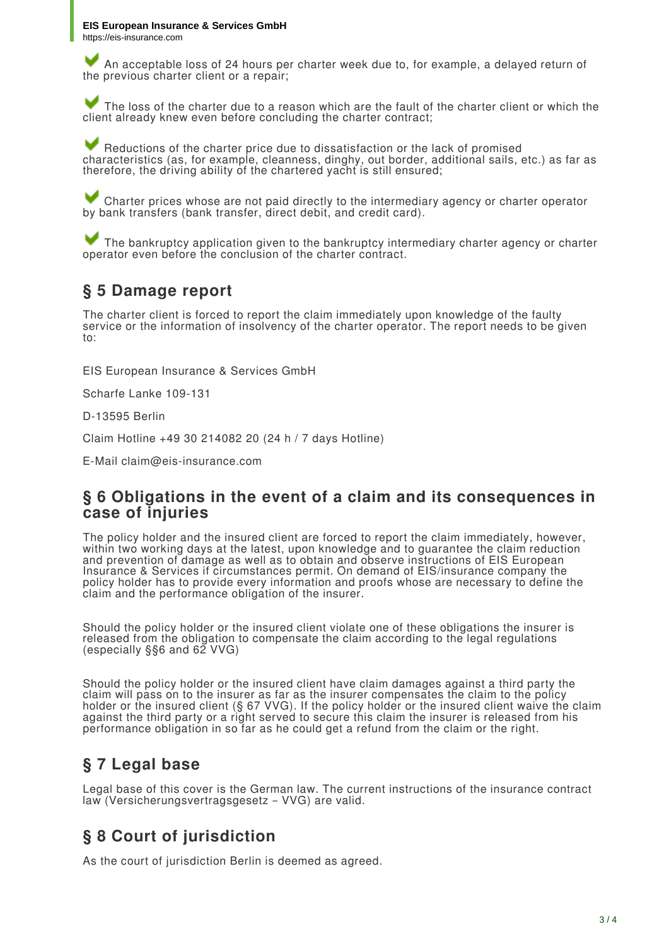An acceptable loss of 24 hours per charter week due to, for example, a delayed return of the previous charter client or a repair;

The loss of the charter due to a reason which are the fault of the charter client or which the client already knew even before concluding the charter contract;

 Reductions of the charter price due to dissatisfaction or the lack of promised characteristics (as, for example, cleanness, dinghy, out border, additional sails, etc.) as far as therefore, the driving ability of the chartered yacht is still ensured;

 Charter prices whose are not paid directly to the intermediary agency or charter operator by bank transfers (bank transfer, direct debit, and credit card).

 The bankruptcy application given to the bankruptcy intermediary charter agency or charter operator even before the conclusion of the charter contract.

### **§ 5 Damage report**

The charter client is forced to report the claim immediately upon knowledge of the faulty service or the information of insolvency of the charter operator. The report needs to be given to:

EIS European Insurance & Services GmbH

Scharfe Lanke 109-131

D-13595 Berlin

Claim Hotline +49 30 214082 20 (24 h / 7 days Hotline)

E-Mail claim@eis-insurance.com

#### **§ 6 Obligations in the event of a claim and its consequences in case of injuries**

The policy holder and the insured client are forced to report the claim immediately, however, within two working days at the latest, upon knowledge and to guarantee the claim reduction and prevention of damage as well as to obtain and observe instructions of EIS European Insurance & Services if circumstances permit. On demand of EIS/insurance company the policy holder has to provide every information and proofs whose are necessary to define the claim and the performance obligation of the insurer.

Should the policy holder or the insured client violate one of these obligations the insurer is released from the obligation to compensate the claim according to the legal regulations (especially §§6 and 62 VVG)

Should the policy holder or the insured client have claim damages against a third party the claim will pass on to the insurer as far as the insurer compensates the claim to the policy holder or the insured client (§ 67 VVG). If the policy holder or the insured client waive the claim against the third party or a right served to secure this claim the insurer is released from his performance obligation in so far as he could get a refund from the claim or the right.

# **§ 7 Legal base**

Legal base of this cover is the German law. The current instructions of the insurance contract law (Versicherungsvertragsgesetz – VVG) are valid.

# **§ 8 Court of jurisdiction**

As the court of jurisdiction Berlin is deemed as agreed.